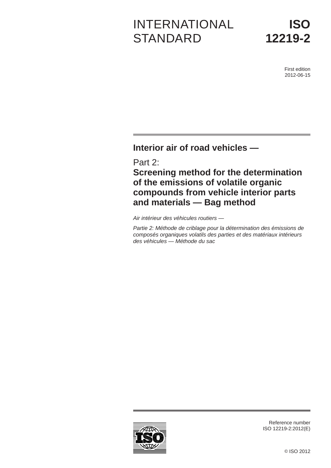# INTERNATIONAL **STANDARD**

First edition 2012-06-15

**Interior air of road vehicles —**

Part 2:

**Screening method for the determination of the emissions of volatile organic compounds from vehicle interior parts and materials — Bag method**

*Air intérieur des véhicules routiers —*

*Partie 2: Méthode de criblage pour la détermination des émissions de composés organiques volatils des parties et des matériaux intérieurs des véhicules — Méthode du sac*



Reference number ISO 12219-2:2012(E)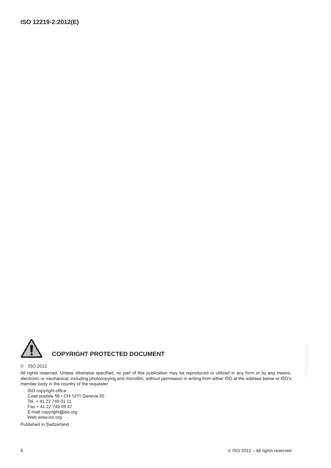

# **COPYRIGHT PROTECTED DOCUMENT**

#### © ISO 2012

All rights reserved. Unless otherwise specified, no part of this publication may be reproduced or utilized in any form or by any means, electronic or mechanical, including photocopying and microfilm, without permission in writing from either ISO at the address below or ISO's member body in the country of the requester.

ISO copyright office Case postale 56 • CH-1211 Geneva 20 Tel. + 41 22 749 01 11 Fax + 41 22 749 09 47 E-mail copyright@iso.org Web www.iso.org

Published in Switzerland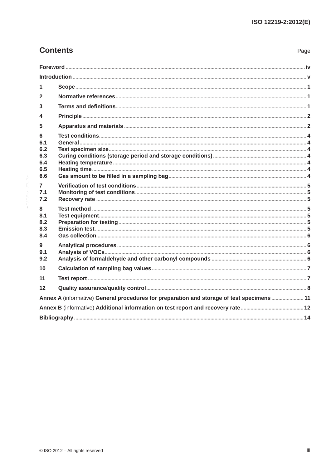| <b>Contents</b> |  |
|-----------------|--|
|-----------------|--|

| <b>Contents</b> |                                                                                            | Page |  |  |
|-----------------|--------------------------------------------------------------------------------------------|------|--|--|
|                 |                                                                                            |      |  |  |
|                 |                                                                                            |      |  |  |
| 1               |                                                                                            |      |  |  |
| $\mathbf{2}$    |                                                                                            |      |  |  |
| 3               |                                                                                            |      |  |  |
| 4               |                                                                                            |      |  |  |
| 5               |                                                                                            |      |  |  |
| 6               |                                                                                            |      |  |  |
| 6.1<br>6.2      |                                                                                            |      |  |  |
| 6.3             |                                                                                            |      |  |  |
| 6.4<br>6.5      |                                                                                            |      |  |  |
| 6.6             |                                                                                            |      |  |  |
| 7               |                                                                                            |      |  |  |
| 7.1             |                                                                                            |      |  |  |
| 7.2             |                                                                                            |      |  |  |
| 8<br>8.1        |                                                                                            |      |  |  |
| 8.2             |                                                                                            |      |  |  |
| 8.3<br>8.4      |                                                                                            |      |  |  |
| 9               |                                                                                            |      |  |  |
| 9.1             |                                                                                            |      |  |  |
| 9.2             |                                                                                            |      |  |  |
| 10              |                                                                                            |      |  |  |
| 11              |                                                                                            |      |  |  |
| $12 \,$         |                                                                                            |      |  |  |
|                 | Annex A (informative) General procedures for preparation and storage of test specimens  11 |      |  |  |
|                 |                                                                                            |      |  |  |
|                 |                                                                                            |      |  |  |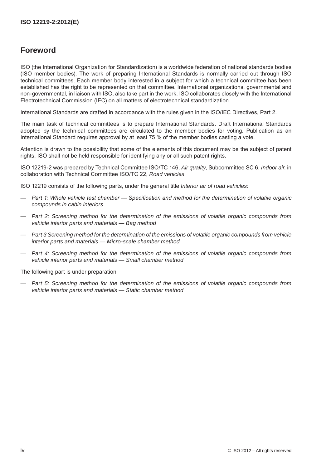# **Foreword**

ISO (the International Organization for Standardization) is a worldwide federation of national standards bodies (ISO member bodies). The work of preparing International Standards is normally carried out through ISO technical committees. Each member body interested in a subject for which a technical committee has been established has the right to be represented on that committee. International organizations, governmental and non-governmental, in liaison with ISO, also take part in the work. ISO collaborates closely with the International Electrotechnical Commission (IEC) on all matters of electrotechnical standardization.

International Standards are drafted in accordance with the rules given in the ISO/IEC Directives, Part 2.

The main task of technical committees is to prepare International Standards. Draft International Standards adopted by the technical committees are circulated to the member bodies for voting. Publication as an International Standard requires approval by at least 75 % of the member bodies casting a vote.

Attention is drawn to the possibility that some of the elements of this document may be the subject of patent rights. ISO shall not be held responsible for identifying any or all such patent rights.

ISO 12219-2 was prepared by Technical Committee ISO/TC 146, *Air quality*, Subcommittee SC 6, *Indoor air*, in collaboration with Technical Committee ISO/TC 22, *Road vehicles*.

ISO 12219 consists of the following parts, under the general title *Interior air of road vehicles*:

- *Part 1: Whole vehicle test chamber — Specification and method for the determination of volatile organic compounds in cabin interiors*
- *Part 2: Screening method for the determination of the emissions of volatile organic compounds from vehicle interior parts and materials — Bag method*
- *Part 3 Screening method for the determination of the emissions of volatile organic compounds from vehicle interior parts and materials — Micro-scale chamber method*
- *Part 4: Screening method for the determination of the emissions of volatile organic compounds from vehicle interior parts and materials — Small chamber method*

The following part is under preparation:

— *Part 5: Screening method for the determination of the emissions of volatile organic compounds from vehicle interior parts and materials — Static chamber method*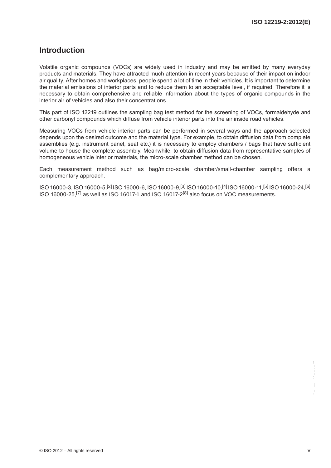# **Introduction**

Volatile organic compounds (VOCs) are widely used in industry and may be emitted by many everyday products and materials. They have attracted much attention in recent years because of their impact on indoor air quality. After homes and workplaces, people spend a lot of time in their vehicles. It is important to determine the material emissions of interior parts and to reduce them to an acceptable level, if required. Therefore it is necessary to obtain comprehensive and reliable information about the types of organic compounds in the interior air of vehicles and also their concentrations.

This part of ISO 12219 outlines the sampling bag test method for the screening of VOCs, formaldehyde and other carbonyl compounds which diffuse from vehicle interior parts into the air inside road vehicles.

Measuring VOCs from vehicle interior parts can be performed in several ways and the approach selected depends upon the desired outcome and the material type. For example, to obtain diffusion data from complete assemblies (e.g. instrument panel, seat etc.) it is necessary to employ chambers / bags that have sufficient volume to house the complete assembly. Meanwhile, to obtain diffusion data from representative samples of homogeneous vehicle interior materials, the micro-scale chamber method can be chosen.

Each measurement method such as bag/micro-scale chamber/small-chamber sampling offers a complementary approach.

ISO 16000-3, ISO 16000-5,[2] ISO 16000-6, ISO 16000-9,[3] ISO 16000-10,[4] ISO 16000-11,[5] ISO 16000-24,[6] ISO 16000-25,[7] as well as ISO 16017-1 and ISO 16017-2[8] also focus on VOC measurements.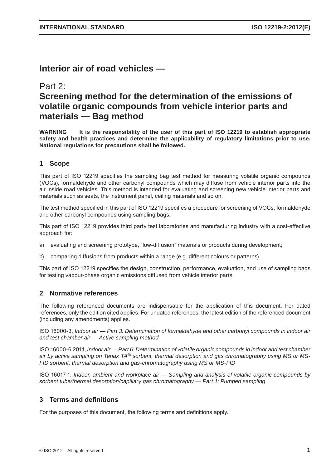# **Interior air of road vehicles —**

# Part 2: **Screening method for the determination of the emissions of volatile organic compounds from vehicle interior parts and materials — Bag method**

**WARNING It is the responsibility of the user of this part of ISO 12219 to establish appropriate safety and health practices and determine the applicability of regulatory limitations prior to use. National regulations for precautions shall be followed.**

### **1 Scope**

This part of ISO 12219 specifies the sampling bag test method for measuring volatile organic compounds (VOCs), formaldehyde and other carbonyl compounds which may diffuse from vehicle interior parts into the air inside road vehicles. This method is intended for evaluating and screening new vehicle interior parts and materials such as seats, the instrument panel, ceiling materials and so on.

The test method specified in this part of ISO 12219 specifies a procedure for screening of VOCs, formaldehyde and other carbonyl compounds using sampling bags.

This part of ISO 12219 provides third party test laboratories and manufacturing industry with a cost-effective approach for:

- a) evaluating and screening prototype, "low-diffusion" materials or products during development;
- b) comparing diffusions from products within a range (e.g. different colours or patterns).

This part of ISO 12219 specifies the design, construction, performance, evaluation, and use of sampling bags for testing vapour-phase organic emissions diffused from vehicle interior parts.

#### **2 Normative references**

The following referenced documents are indispensable for the application of this document. For dated references, only the edition cited applies. For undated references, the latest edition of the referenced document (including any amendments) applies.

ISO 16000-3, *Indoor air — Part 3: Determination of formaldehyde and other carbonyl compounds in indoor air and test chamber air — Active sampling method*

ISO 16000-6:2011, *Indoor air — Part 6: Determination of volatile organic compounds in indoor and test chamber air by active sampling on Tenax TA® sorbent, thermal desorption and gas chromatography using MS or MS-FID sorbent, thermal desorption and gas-chromatography using MS or MS-FID*

ISO 16017-1, *Indoor, ambient and workplace air — Sampling and analysis of volatile organic compounds by sorbent tube/thermal desorption/capillary gas chromatography — Part 1: Pumped sampling*

### **3 Terms and definitions**

For the purposes of this document, the following terms and definitions apply.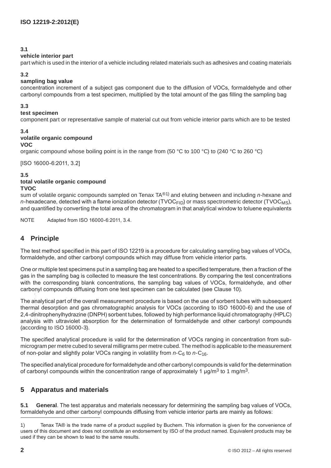#### **3.1**

#### **vehicle interior part**

part which is used in the interior of a vehicle including related materials such as adhesives and coating materials

#### **3.2**

#### **sampling bag value**

concentration increment of a subject gas component due to the diffusion of VOCs, formaldehyde and other carbonyl compounds from a test specimen, multiplied by the total amount of the gas filling the sampling bag

#### **3.3**

#### **test specimen**

component part or representative sample of material cut out from vehicle interior parts which are to be tested

#### **3.4**

### **volatile organic compound**

#### **VOC**

organic compound whose boiling point is in the range from (50 °C to 100 °C) to (240 °C to 260 °C)

[ISO 16000-6:2011, 3.2]

#### **3.5**

# **total volatile organic compound**

### **TVOC**

sum of volatile organic compounds sampled on Tenax TA*®*1) and eluting between and including *n*-hexane and *n*-hexadecane, detected with a flame ionization detector (TVOC<sub>FID</sub>) or mass spectrometric detector (TVOC<sub>MS</sub>), and quantified by converting the total area of the chromatogram in that analytical window to toluene equivalents

NOTE Adapted from ISO 16000-6:2011, 3.4.

# **4 Principle**

The test method specified in this part of ISO 12219 is a procedure for calculating sampling bag values of VOCs, formaldehyde, and other carbonyl compounds which may diffuse from vehicle interior parts.

One or multiple test specimens put in a sampling bag are heated to a specified temperature, then a fraction of the gas in the sampling bag is collected to measure the test concentrations. By comparing the test concentrations with the corresponding blank concentrations, the sampling bag values of VOCs, formaldehyde, and other carbonyl compounds diffusing from one test specimen can be calculated (see Clause 10).

The analytical part of the overall measurement procedure is based on the use of sorbent tubes with subsequent thermal desorption and gas chromatographic analysis for VOCs (according to ISO 16000-6) and the use of 2,4-dinitrophenylhydrazine (DNPH) sorbent tubes, followed by high performance liquid chromatography (HPLC) analysis with ultraviolet absorption for the determination of formaldehyde and other carbonyl compounds (according to ISO 16000-3). --`,,```,,,,````-`-`,,`,,`,`,,`---

The specified analytical procedure is valid for the determination of VOCs ranging in concentration from submicrogram per metre cubed to several milligrams per metre cubed. The method is applicable to the measurement of non-polar and slightly polar VOCs ranging in volatility from *n*-C<sub>6</sub> to *n*-C<sub>16</sub>.

The specified analytical procedure for formaldehyde and other carbonyl compounds is valid for the determination of carbonyl compounds within the concentration range of approximately 1  $\mu$ g/m<sup>3</sup> to 1 mg/m<sup>3</sup>.

### **5 Apparatus and materials**

**5.1 General**. The test apparatus and materials necessary for determining the sampling bag values of VOCs, formaldehyde and other carbonyl compounds diffusing from vehicle interior parts are mainly as follows:

<sup>1)</sup> Tenax TA® is the trade name of a product supplied by Buchem. This information is given for the convenience of users of this document and does not constitute an endorsement by ISO of the product named. Equivalent products may be used if they can be shown to lead to the same results.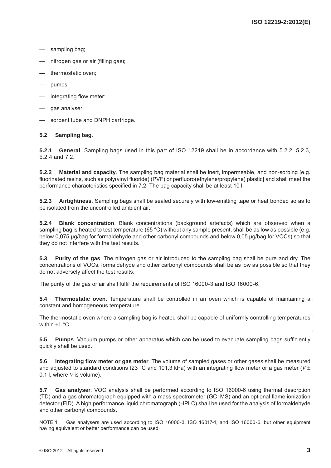- sampling bag;
- nitrogen gas or air (filling gas);
- thermostatic oven;
- pumps;
- integrating flow meter;
- gas analyser;
- sorbent tube and DNPH cartridge.

#### **5.2 Sampling bag**.

**5.2.1 General**. Sampling bags used in this part of ISO 12219 shall be in accordance with 5.2.2, 5.2.3, 5.2.4 and 7.2.

**5.2.2 Material and capacity**. The sampling bag material shall be inert, impermeable, and non-sorbing [e.g. fluorinated resins, such as poly(vinyl fluoride) (PVF) or perfluoro(ethylene/propylene) plastic] and shall meet the performance characteristics specified in 7.2. The bag capacity shall be at least 10 l.

**5.2.3 Airtightness**. Sampling bags shall be sealed securely with low-emitting tape or heat bonded so as to be isolated from the uncontrolled ambient air.

**5.2.4 Blank concentration**. Blank concentrations (background artefacts) which are observed when a sampling bag is heated to test temperature (65 °C) without any sample present, shall be as low as possible (e.g. below 0,075 µg/bag for formaldehyde and other carbonyl compounds and below 0,05 µg/bag for VOCs) so that they do not interfere with the test results.

**5.3 Purity of the gas**. The nitrogen gas or air introduced to the sampling bag shall be pure and dry. The concentrations of VOCs, formaldehyde and other carbonyl compounds shall be as low as possible so that they do not adversely affect the test results.

The purity of the gas or air shall fulfil the requirements of ISO 16000-3 and ISO 16000-6.

**5.4 Thermostatic oven**. Temperature shall be controlled in an oven which is capable of maintaining a constant and homogeneous temperature.

The thermostatic oven where a sampling bag is heated shall be capable of uniformly controlling temperatures within ±1 °C.

**5.5 Pumps**. Vacuum pumps or other apparatus which can be used to evacuate sampling bags sufficiently quickly shall be used.

**5.6** Integrating flow meter or gas meter. The volume of sampled gases or other gases shall be measured and adjusted to standard conditions (23 °C and 101,3 kPa) with an integrating flow meter or a gas meter (*V* ± 0,1 l, where *V* is volume).

**5.7 Gas analyser**. VOC analysis shall be performed according to ISO 16000-6 using thermal desorption (TD) and a gas chromatograph equipped with a mass spectrometer (GC–MS) and an optional flame ionization detector (FID). A high performance liquid chromatograph (HPLC) shall be used for the analysis of formaldehyde and other carbonyl compounds.

NOTE 1 Gas analysers are used according to ISO 16000-3, ISO 16017-1, and ISO 16000-6, but other equipment having equivalent or better performance can be used.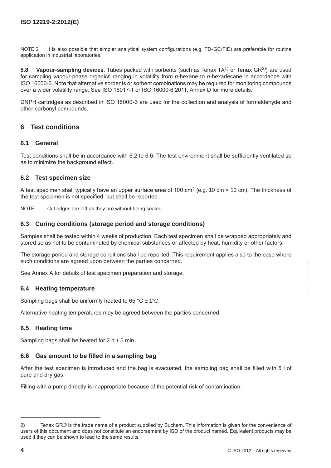NOTE 2 It is also possible that simpler analytical system configurations (e.g. TD-GC/FID) are preferable for routine application in industrial laboratories.

**5.8 Vapour-sampling devices**. Tubes packed with sorbents (such as Tenax TA<sup>1)</sup> or Tenax GR<sup>2)</sup>) are used for sampling vapour-phase organics ranging in volatility from *n-*hexane to *n-*hexadecane in accordance with ISO 16000-6. Note that alternative sorbents or sorbent combinations may be required for monitoring compounds over a wider volatility range. See ISO 16017-1 or ISO 16000-6:2011, Annex D for more details.

DNPH cartridges as described in ISO 16000-3 are used for the collection and analysis of formaldehyde and other carbonyl compounds.

#### **6 Test conditions**

#### **6.1 General**

Test conditions shall be in accordance with 6.2 to 6.6. The test environment shall be sufficiently ventilated so as to minimize the background effect.

#### **6.2 Test specimen size**

A test specimen shall typically have an upper surface area of 100 cm<sup>2</sup> (e.g. 10 cm  $\times$  10 cm). The thickness of the test specimen is not specified, but shall be reported.

NOTE Cut edges are left as they are without being sealed.

#### **6.3 Curing conditions (storage period and storage conditions)**

Samples shall be tested within 4 weeks of production. Each test specimen shall be wrapped appropriately and stored so as not to be contaminated by chemical substances or affected by heat, humidity or other factors.

The storage period and storage conditions shall be reported. This requirement applies also to the case where such conditions are agreed upon between the parties concerned.

See Annex A for details of test specimen preparation and storage.

#### **6.4 Heating temperature**

Sampling bags shall be uniformly heated to 65 °C  $\pm$  1°C.

Alternative heating temperatures may be agreed between the parties concerned.

#### **6.5 Heating time**

Sampling bags shall be heated for  $2 h \pm 5 m$ in.

#### **6.6** Gas amount to be filled in a sampling bag

After the test specimen is introduced and the bag is evacuated, the sampling bag shall be filled with 5 l of pure and dry gas.

Filling with a pump directly is inappropriate because of the potential risk of contamination.

<sup>2)</sup> Tenax GR® is the trade name of a product supplied by Buchem. This information is given for the convenience of users of this document and does not constitute an endorsement by ISO of the product named. Equivalent products may be used if they can be shown to lead to the same results.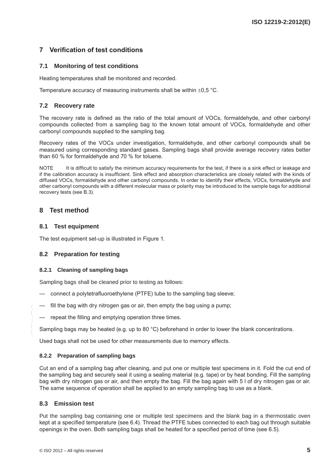# **7 Verification of test conditions**

#### **7.1 Monitoring of test conditions**

Heating temperatures shall be monitored and recorded.

Temperature accuracy of measuring instruments shall be within  $\pm 0.5$  °C.

#### **7.2 Recovery rate**

The recovery rate is defined as the ratio of the total amount of VOCs, formaldehyde, and other carbonyl compounds collected from a sampling bag to the known total amount of VOCs, formaldehyde and other carbonyl compounds supplied to the sampling bag.

Recovery rates of the VOCs under investigation, formaldehyde, and other carbonyl compounds shall be measured using corresponding standard gases. Sampling bags shall provide average recovery rates better than 60 % for formaldehyde and 70 % for toluene.

NOTE It is difficult to satisfy the minimum accuracy requirements for the test, if there is a sink effect or leakage and if the calibration accuracy is insufficient. Sink effect and absorption characteristics are closely related with the kinds of diffused VOCs, formaldehyde and other carbonyl compounds. In order to identify their effects, VOCs, formaldehyde and other carbonyl compounds with a different molecular mass or polarity may be introduced to the sample bags for additional recovery tests (see B.3).

### **8 Test method**

#### **8.1 Test equipment**

The test equipment set-up is illustrated in Figure 1.

#### **8.2 Preparation for testing**

#### **8.2.1 Cleaning of sampling bags**

Sampling bags shall be cleaned prior to testing as follows:

- connect a polytetrafluoroethylene (PTFE) tube to the sampling bag sleeve;
- fill the bag with dry nitrogen gas or air, then empty the bag using a pump;
- repeat the filling and emptying operation three times.

Sampling bags may be heated (e.g. up to 80 °C) beforehand in order to lower the blank concentrations.

Used bags shall not be used for other measurements due to memory effects.

#### **8.2.2 Preparation of sampling bags**

Cut an end of a sampling bag after cleaning, and put one or multiple test specimens in it. Fold the cut end of the sampling bag and securely seal it using a sealing material (e.g. tape) or by heat bonding. Fill the sampling bag with dry nitrogen gas or air, and then empty the bag. Fill the bag again with 5 l of dry nitrogen gas or air. The same sequence of operation shall be applied to an empty sampling bag to use as a blank.

#### **8.3 Emission test**

Put the sampling bag containing one or multiple test specimens and the blank bag in a thermostatic oven kept at a specified temperature (see 6.4). Thread the PTFE tubes connected to each bag out through suitable openings in the oven. Both sampling bags shall be heated for a specified period of time (see 6.5).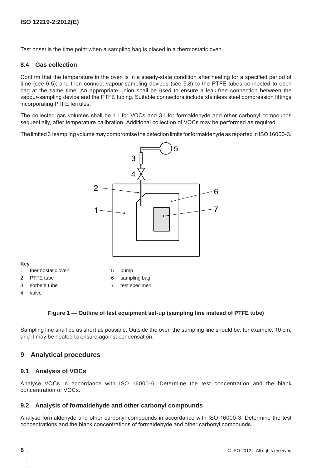Test onset is the time point when a sampling bag is placed in a thermostatic oven.

#### **8.4 Gas collection**

Confirm that the temperature in the oven is in a steady-state condition after heating for a specified period of time (see 6.5), and then connect vapour-sampling devices (see 5.8) to the PTFE tubes connected to each bag at the same time. An appropriate union shall be used to ensure a leak-free connection between the vapour-sampling device and the PTFE tubing. Suitable connectors include stainless steel compression fittings incorporating PTFE ferrules.

The collected gas volumes shall be 1 l for VOCs and 3 l for formaldehyde and other carbonyl compounds sequentially, after temperature calibration. Additional collection of VOCs may be performed as required.

The limited 3 I sampling volume may compromise the detection limits for formaldehyde as reported in ISO 16000-3.



| ×<br>v |
|--------|
|--------|

- 1 thermostatic oven 5 pump
- 2 PTFE tube 6 sampling bag
- 3 sorbent tube 7 test specimen
- 4 valve

#### **Figure 1 — Outline of test equipment set-up (sampling line instead of PTFE tube)**

Sampling line shall be as short as possible. Outside the oven the sampling line should be, for example, 10 cm, and it may be heated to ensure against condensation.

#### **9 Analytical procedures**

#### **9.1 Analysis of VOCs**

Analyse VOCs in accordance with ISO 16000-6. Determine the test concentration and the blank concentration of VOCs.

#### **9.2 Analysis of formaldehyde and other carbonyl compounds**

Analyse formaldehyde and other carbonyl compounds in accordance with ISO 16000-3. Determine the test concentrations and the blank concentrations of formaldehyde and other carbonyl compounds.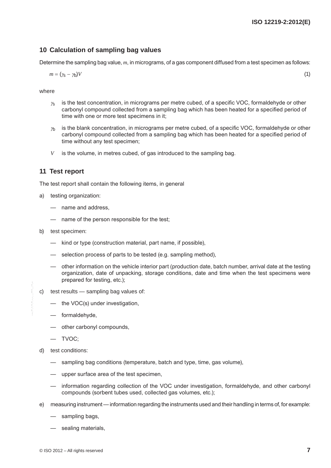### **10 Calculation of sampling bag values**

Determine the sampling bag value, *m*, in micrograms, of a gas component diffused from a test specimen as follows:

 $m = (\gamma_{\rm S} - \gamma_{\rm D})V$  (1)

where

- $\gamma$ <sub>s</sub> is the test concentration, in micrograms per metre cubed, of a specific VOC, formaldehyde or other carbonyl compound collected from a sampling bag which has been heated for a specified period of time with one or more test specimens in it;
- $y<sub>b</sub>$  is the blank concentration, in micrograms per metre cubed, of a specific VOC, formaldehyde or other carbonyl compound collected from a sampling bag which has been heated for a specified period of time without any test specimen;
- *V* is the volume, in metres cubed, of gas introduced to the sampling bag.

#### **11 Test report**

The test report shall contain the following items, in general

- a) testing organization:
	- name and address,
	- name of the person responsible for the test;
- b) test specimen:
	- kind or type (construction material, part name, if possible),
	- selection process of parts to be tested (e.g. sampling method),
	- other information on the vehicle interior part (production date, batch number, arrival date at the testing organization, date of unpacking, storage conditions, date and time when the test specimens were prepared for testing, etc.);
- c) test results sampling bag values of:
	- the VOC(s) under investigation,
	- formaldehyde,
	- other carbonyl compounds,
	- TVOC;
- d) test conditions:
	- sampling bag conditions (temperature, batch and type, time, gas volume),
	- upper surface area of the test specimen,
	- information regarding collection of the VOC under investigation, formaldehyde, and other carbonyl compounds (sorbent tubes used, collected gas volumes, etc.);
- e) measuring instrument— information regarding the instruments used and their handling in terms of, for example:
	- sampling bags,
	- sealing materials,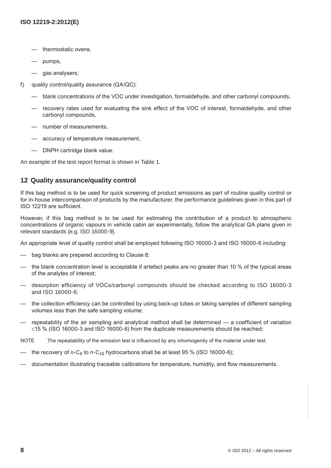- thermostatic ovens,
- pumps,
- gas analysers;
- f) quality control/quality assurance (QA/QC):
	- blank concentrations of the VOC under investigation, formaldehyde, and other carbonyl compounds,
	- recovery rates used for evaluating the sink effect of the VOC of interest, formaldehyde, and other carbonyl compounds,
	- number of measurements,
	- accuracy of temperature measurement,
	- DNPH cartridge blank value.

An example of the test report format is shown in Table 1.

### **12 Quality assurance/quality control**

If this bag method is to be used for quick screening of product emissions as part of routine quality control or for in-house intercomparison of products by the manufacturer, the performance guidelines given in this part of ISO 12219 are sufficient.

However, if this bag method is to be used for estimating the contribution of a product to atmospheric concentrations of organic vapours in vehicle cabin air experimentally, follow the analytical QA plans given in relevant standards (e.g. ISO 16000-9).

An appropriate level of quality control shall be employed following ISO 16000-3 and ISO 16000-6 including:

- bag blanks are prepared according to Clause 8;
- the blank concentration level is acceptable if artefact peaks are no greater than 10 % of the typical areas of the analytes of interest;
- desorption efficiency of VOCs/carbonyl compounds should be checked according to ISO 16000-3 and ISO 16000-6;
- the collection efficiency can be controlled by using back-up tubes or taking samples of different sampling volumes less than the safe sampling volume;
- repeatability of the air sampling and analytical method shall be determined a coefficient of variation ≤15 % (ISO 16000-3 and ISO 16000-6) from the duplicate measurements should be reached;
- NOTE The repeatability of the emission test is influenced by any inhomogenity of the material under test.
- the recovery of  $n$ -C<sub>6</sub> to  $n$ -C<sub>16</sub> hydrocarbons shall be at least 95 % (ISO 16000-6);
- documentation illustrating traceable calibrations for temperature, humidity, and flow measurements.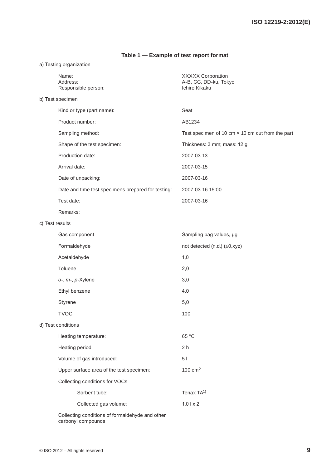# **Table 1 — Example of test report format**

| a) Testing organization |                                                    |                                                                    |  |  |  |  |
|-------------------------|----------------------------------------------------|--------------------------------------------------------------------|--|--|--|--|
|                         | Name:<br>Address:<br>Responsible person:           | <b>XXXXX Corporation</b><br>A-B, CC, DD-ku, Tokyo<br>Ichiro Kikaku |  |  |  |  |
|                         | b) Test specimen                                   |                                                                    |  |  |  |  |
|                         | Kind or type (part name):                          | Seat                                                               |  |  |  |  |
|                         | Product number:                                    | AB1234                                                             |  |  |  |  |
|                         | Sampling method:                                   | Test specimen of 10 cm $\times$ 10 cm cut from the part            |  |  |  |  |
|                         | Shape of the test specimen:                        | Thickness: 3 mm; mass: 12 g                                        |  |  |  |  |
|                         | Production date:                                   | 2007-03-13                                                         |  |  |  |  |
|                         | Arrival date:                                      | 2007-03-15                                                         |  |  |  |  |
|                         | Date of unpacking:                                 | 2007-03-16                                                         |  |  |  |  |
|                         | Date and time test specimens prepared for testing: | 2007-03-16 15:00                                                   |  |  |  |  |
|                         | Test date:                                         | 2007-03-16                                                         |  |  |  |  |
|                         | Remarks:                                           |                                                                    |  |  |  |  |
| c) Test results         |                                                    |                                                                    |  |  |  |  |
|                         | Gas component                                      | Sampling bag values, µg                                            |  |  |  |  |
|                         | Formaldehyde                                       | not detected (n.d.) (≤0,xyz)                                       |  |  |  |  |
|                         | Acetaldehyde                                       | 1,0                                                                |  |  |  |  |
|                         | Toluene                                            | 2,0                                                                |  |  |  |  |
|                         | o-, m-, p-Xylene                                   | 3,0                                                                |  |  |  |  |
|                         | Ethyl benzene                                      | 4,0                                                                |  |  |  |  |
|                         | Styrene                                            | 5,0                                                                |  |  |  |  |
|                         | <b>TVOC</b>                                        | 100                                                                |  |  |  |  |
|                         | d) Test conditions                                 |                                                                    |  |  |  |  |
|                         | Heating temperature:                               | 65 °C                                                              |  |  |  |  |
|                         | Heating period:                                    | 2 <sub>h</sub>                                                     |  |  |  |  |
|                         | Volume of gas introduced:                          | 51                                                                 |  |  |  |  |
|                         | Upper surface area of the test specimen:           | $100 \text{ cm}^2$                                                 |  |  |  |  |
|                         | Collecting conditions for VOCs                     |                                                                    |  |  |  |  |
|                         | Sorbent tube:                                      | Tenax TA <sup>1)</sup>                                             |  |  |  |  |
|                         | Collected gas volume:                              | $1,0$   $\times$ 2                                                 |  |  |  |  |
|                         | cting conditions of formaldobude and other         |                                                                    |  |  |  |  |

Collecting conditions of formaldehyde and other carbonyl compounds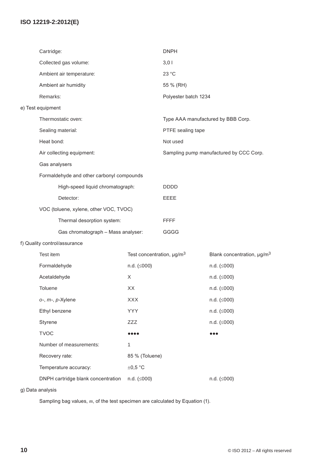# **ISO 12219-2:2012(E)**

|                                           | Cartridge:                                                       |                                            | <b>DNPH</b>                        |                                         |  |
|-------------------------------------------|------------------------------------------------------------------|--------------------------------------------|------------------------------------|-----------------------------------------|--|
|                                           | Collected gas volume:                                            |                                            | 3,01                               |                                         |  |
|                                           | Ambient air temperature:                                         |                                            | 23 °C                              |                                         |  |
|                                           | Ambient air humidity                                             |                                            | 55 % (RH)                          |                                         |  |
|                                           | Remarks:                                                         |                                            | Polyester batch 1234               |                                         |  |
|                                           | e) Test equipment                                                |                                            |                                    |                                         |  |
|                                           | Thermostatic oven:                                               |                                            | Type AAA manufactured by BBB Corp. |                                         |  |
|                                           | Sealing material:                                                |                                            | PTFE sealing tape<br>Not used      |                                         |  |
|                                           | Heat bond:                                                       |                                            |                                    |                                         |  |
|                                           | Air collecting equipment:                                        |                                            |                                    | Sampling pump manufactured by CCC Corp. |  |
|                                           | Gas analysers                                                    |                                            |                                    |                                         |  |
| Formaldehyde and other carbonyl compounds |                                                                  |                                            |                                    |                                         |  |
|                                           | High-speed liquid chromatograph:                                 |                                            | <b>DDDD</b>                        |                                         |  |
|                                           | Detector:                                                        |                                            | <b>EEEE</b>                        |                                         |  |
|                                           | VOC (toluene, xylene, other VOC, TVOC)                           |                                            |                                    |                                         |  |
|                                           | Thermal desorption system:<br>Gas chromatograph - Mass analyser: |                                            | <b>FFFF</b>                        |                                         |  |
|                                           |                                                                  |                                            | GGGG                               |                                         |  |
|                                           | f) Quality control/assurance                                     |                                            |                                    |                                         |  |
|                                           | Test item                                                        | Test concentration, $\mu$ g/m <sup>3</sup> |                                    | Blank concentration, µg/m <sup>3</sup>  |  |
|                                           | Formaldehyde                                                     | $n.d.$ ( $\leq 000$ )                      |                                    | $n.d.$ ( $\leq 000$ )                   |  |
|                                           | Acetaldehyde                                                     | X                                          |                                    | $n.d.$ ( $\leq 000$ )                   |  |
|                                           | Toluene<br>XX                                                    |                                            |                                    | $n.d.$ ( $\leq 000$ )                   |  |
|                                           | o-, m-, p-Xylene                                                 | <b>XXX</b>                                 |                                    | n.d. (≤000)                             |  |
|                                           | Ethyl benzene                                                    | <b>YYY</b>                                 |                                    | $n.d.$ ( $\leq 000$ )                   |  |
|                                           | Styrene                                                          | <b>ZZZ</b>                                 |                                    | $n.d.$ ( $\leq 000$ )                   |  |
|                                           | <b>TVOC</b>                                                      |                                            |                                    | .                                       |  |
|                                           | Number of measurements:                                          | 1                                          |                                    |                                         |  |
|                                           | Recovery rate:<br>85 % (Toluene)                                 |                                            |                                    |                                         |  |
|                                           | Temperature accuracy:                                            | $\pm 0.5$ °C                               |                                    |                                         |  |
|                                           | DNPH cartridge blank concentration                               | $n.d.$ ( $\leq 000$ )                      |                                    | $n.d.$ ( $\leq 000$ )                   |  |

g) Data analysis

Sampling bag values, *m*, of the test specimen are calculated by Equation (1).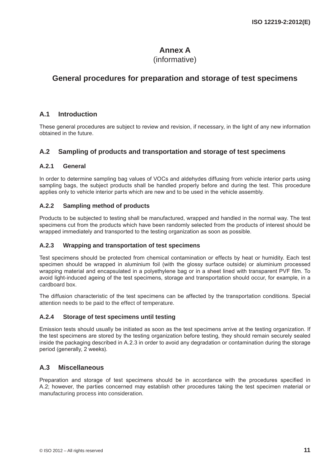# **Annex A**

# (informative)

# **General procedures for preparation and storage of test specimens**

### **A.1 Introduction**

These general procedures are subject to review and revision, if necessary, in the light of any new information obtained in the future.

### **A.2 Sampling of products and transportation and storage of test specimens**

#### **A.2.1 General**

In order to determine sampling bag values of VOCs and aldehydes diffusing from vehicle interior parts using sampling bags, the subject products shall be handled properly before and during the test. This procedure applies only to vehicle interior parts which are new and to be used in the vehicle assembly.

#### **A.2.2 Sampling method of products**

Products to be subjected to testing shall be manufactured, wrapped and handled in the normal way. The test specimens cut from the products which have been randomly selected from the products of interest should be wrapped immediately and transported to the testing organization as soon as possible.

#### **A.2.3 Wrapping and transportation of test specimens**

Test specimens should be protected from chemical contamination or effects by heat or humidity. Each test specimen should be wrapped in aluminium foil (with the glossy surface outside) or aluminium processed wrapping material and encapsulated in a polyethylene bag or in a sheet lined with transparent PVF film. To avoid light-induced ageing of the test specimens, storage and transportation should occur, for example, in a cardboard box.

The diffusion characteristic of the test specimens can be affected by the transportation conditions. Special attention needs to be paid to the effect of temperature.

#### **A.2.4 Storage of test specimens until testing**

Emission tests should usually be initiated as soon as the test specimens arrive at the testing organization. If the test specimens are stored by the testing organization before testing, they should remain securely sealed inside the packaging described in A.2.3 in order to avoid any degradation or contamination during the storage period (generally, 2 weeks).

### **A.3 Miscellaneous**

Preparation and storage of test specimens should be in accordance with the procedures specified in A.2; however, the parties concerned may establish other procedures taking the test specimen material or manufacturing process into consideration.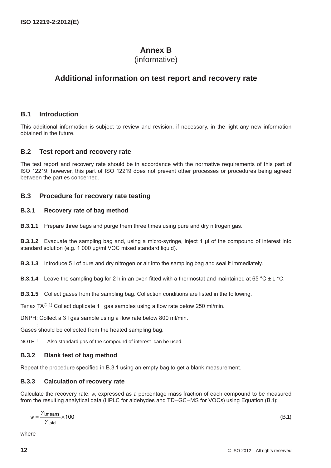# **Annex B**

# (informative)

# **Additional information on test report and recovery rate**

#### **B.1 Introduction**

This additional information is subject to review and revision, if necessary, in the light any new information obtained in the future.

#### **B.2 Test report and recovery rate**

The test report and recovery rate should be in accordance with the normative requirements of this part of ISO 12219; however, this part of ISO 12219 does not prevent other processes or procedures being agreed between the parties concerned.

#### **B.3 Procedure for recovery rate testing**

#### **B.3.1 Recovery rate of bag method**

**B.3.1.1** Prepare three bags and purge them three times using pure and dry nitrogen gas.

**B.3.1.2** Evacuate the sampling bag and, using a micro-syringe, inject 1 µl of the compound of interest into standard solution (e.g. 1 000 µg/ml VOC mixed standard liquid).

**B.3.1.3** Introduce 5 l of pure and dry nitrogen or air into the sampling bag and seal it immediately.

**B.3.1.4** Leave the sampling bag for 2 h in an oven fitted with a thermostat and maintained at 65 °C  $\pm$  1 °C.

**B.3.1.5** Collect gases from the sampling bag. Collection conditions are listed in the following.

Tenax TA®:<sup>1)</sup> Collect duplicate 1 I gas samples using a flow rate below 250 ml/min.

DNPH: Collect a 3 l gas sample using a flow rate below 800 ml/min.

Gases should be collected from the heated sampling bag. --`,,```,,,,````-`-`,,`,,`,`,,`---

NOTE Also standard gas of the compound of interest can be used.

#### **B.3.2 Blank test of bag method**

Repeat the procedure specified in B.3.1 using an empty bag to get a blank measurement.

#### **B.3.3 Calculation of recovery rate**

Calculate the recovery rate, *w*, expressed as a percentage mass fraction of each compound to be measured from the resulting analytical data (HPLC for aldehydes and TD–GC–MS for VOCs) using Equation (B.1):

$$
w = \frac{\gamma_{i,\text{means}}}{\gamma_{i,\text{std}}} \times 100\tag{B.1}
$$

where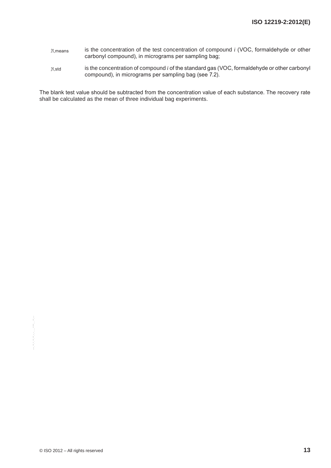- <sup>γ</sup>*i*,means is the concentration of the test concentration of compound *i* (VOC, formaldehyde or other carbonyl compound), in micrograms per sampling bag;
- <sup>γ</sup>*i*,std is the concentration of compound *i* of the standard gas (VOC, formaldehyde or other carbonyl compound), in micrograms per sampling bag (see 7.2).

The blank test value should be subtracted from the concentration value of each substance. The recovery rate shall be calculated as the mean of three individual bag experiments.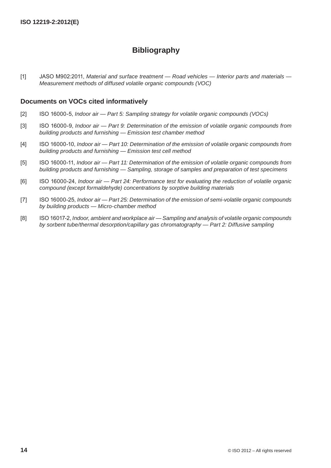# **Bibliography**

[1] JASO M902:2011, *Material and surface treatment — Road vehicles — Interior parts and materials — Measurement methods of diffused volatile organic compounds (VOC)*

#### **Documents on VOCs cited informatively**

- [2] ISO 16000-5, *Indoor air Part 5: Sampling strategy for volatile organic compounds (VOCs)*
- [3] ISO 16000-9, *Indoor air Part 9: Determination of the emission of volatile organic compounds from building products and furnishing — Emission test chamber method*
- [4] ISO 16000-10, *Indoor air Part 10: Determination of the emission of volatile organic compounds from building products and furnishing — Emission test cell method*
- [5] ISO 16000-11, *Indoor air Part 11: Determination of the emission of volatile organic compounds from building products and furnishing — Sampling, storage of samples and preparation of test specimens*
- [6] ISO 16000-24, *Indoor air Part 24: Performance test for evaluating the reduction of volatile organic compound (except formaldehyde) concentrations by sorptive building materials*
- [7] ISO 16000-25, *Indoor air Part 25: Determination of the emission of semi-volatile organic compounds by building products — Micro-chamber method*
- [8] ISO 16017-2, *Indoor, ambient and workplace air Sampling and analysis of volatile organic compounds by sorbent tube/thermal desorption/capillary gas chromatography — Part 2: Diffusive sampling*